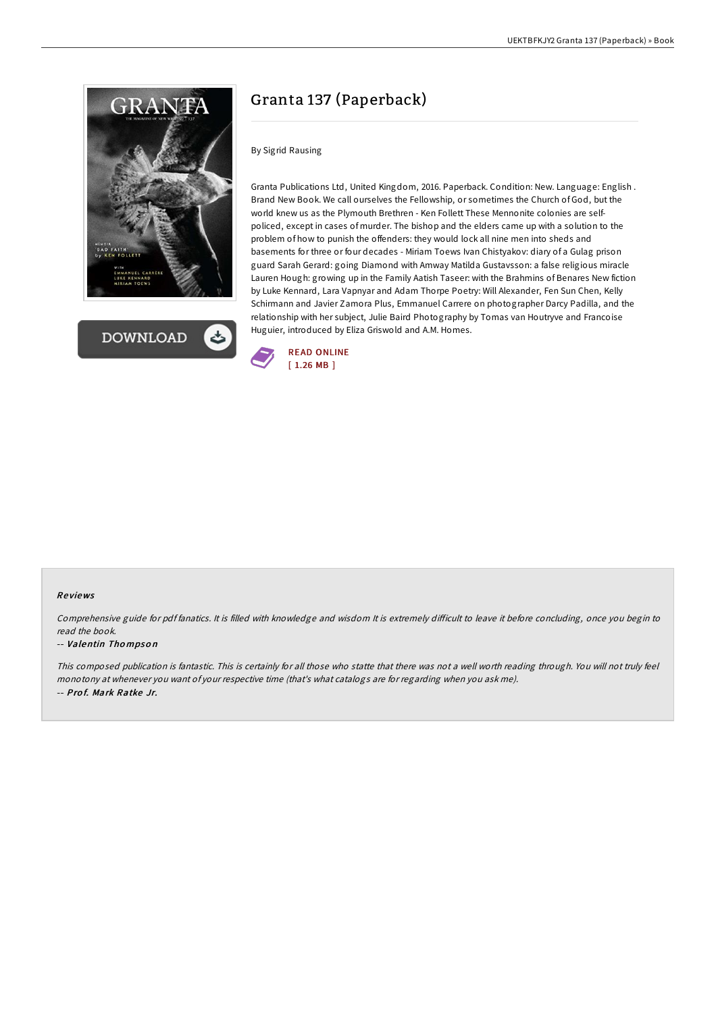



# Granta 137 (Paperback)

### By Sigrid Rausing

Granta Publications Ltd, United Kingdom, 2016. Paperback. Condition: New. Language: English . Brand New Book. We call ourselves the Fellowship, or sometimes the Church of God, but the world knew us as the Plymouth Brethren - Ken Follett These Mennonite colonies are selfpoliced, except in cases of murder. The bishop and the elders came up with a solution to the problem of how to punish the offenders: they would lock all nine men into sheds and basements for three or four decades - Miriam Toews Ivan Chistyakov: diary of a Gulag prison guard Sarah Gerard: going Diamond with Amway Matilda Gustavsson: a false religious miracle Lauren Hough: growing up in the Family Aatish Taseer: with the Brahmins of Benares New fiction by Luke Kennard, Lara Vapnyar and Adam Thorpe Poetry: Will Alexander, Fen Sun Chen, Kelly Schirmann and Javier Zamora Plus, Emmanuel Carrere on photographer Darcy Padilla, and the relationship with her subject, Julie Baird Photography by Tomas van Houtryve and Francoise Huguier, introduced by Eliza Griswold and A.M. Homes.



#### Re views

Comprehensive guide for pdf fanatics. It is filled with knowledge and wisdom It is extremely difficult to leave it before concluding, once you begin to read the book.

#### -- Valentin Tho mpso <sup>n</sup>

This composed publication is fantastic. This is certainly for all those who statte that there was not <sup>a</sup> well worth reading through. You will not truly feel monotony at whenever you want of your respective time (that's what catalogs are for regarding when you ask me). -- Pro f. Mark Ratke Jr.